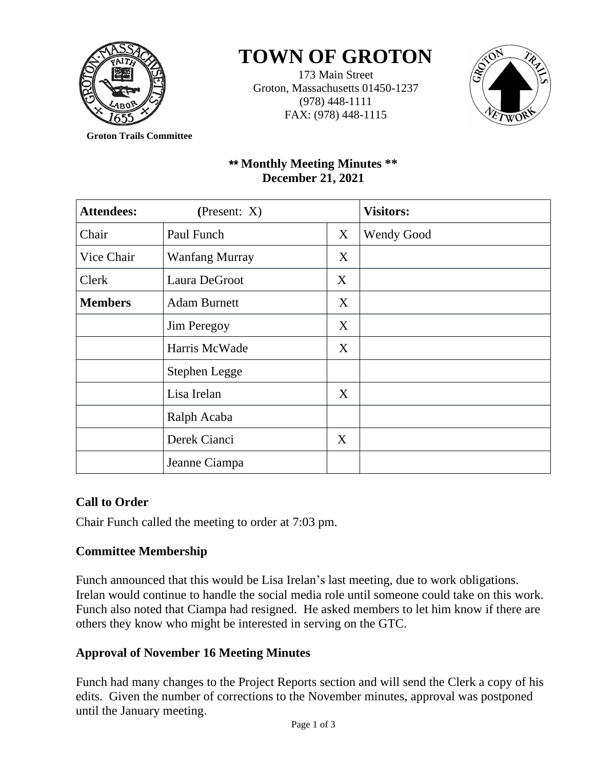

# **TOWN OF GROTON**

173 Main Street Groton, Massachusetts 01450-1237 (978) 448-1111 FAX: (978) 448-1115



**Groton Trails Committee**

# \*\* **Monthly Meeting Minutes \*\* December 21, 2021**

| <b>Attendees:</b> | (Present: $X$ )       |   | <b>Visitors:</b>  |
|-------------------|-----------------------|---|-------------------|
| Chair             | Paul Funch            | X | <b>Wendy Good</b> |
| Vice Chair        | <b>Wanfang Murray</b> | X |                   |
| Clerk             | Laura DeGroot         | X |                   |
| <b>Members</b>    | <b>Adam Burnett</b>   | X |                   |
|                   | <b>Jim Peregoy</b>    | X |                   |
|                   | Harris McWade         | X |                   |
|                   | Stephen Legge         |   |                   |
|                   | Lisa Irelan           | X |                   |
|                   | Ralph Acaba           |   |                   |
|                   | Derek Cianci          | X |                   |
|                   | Jeanne Ciampa         |   |                   |

# **Call to Order**

Chair Funch called the meeting to order at 7:03 pm.

# **Committee Membership**

Funch announced that this would be Lisa Irelan's last meeting, due to work obligations. Irelan would continue to handle the social media role until someone could take on this work. Funch also noted that Ciampa had resigned. He asked members to let him know if there are others they know who might be interested in serving on the GTC.

# **Approval of November 16 Meeting Minutes**

Funch had many changes to the Project Reports section and will send the Clerk a copy of his edits. Given the number of corrections to the November minutes, approval was postponed until the January meeting.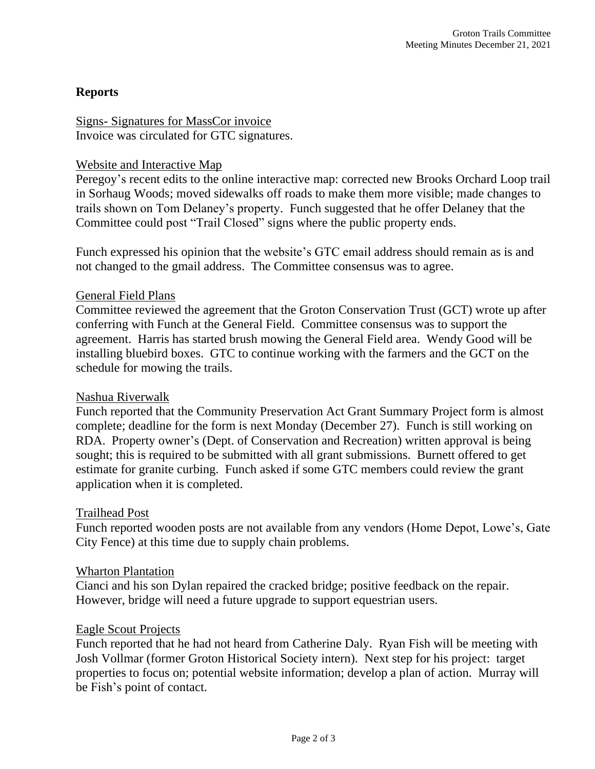# **Reports**

Signs- Signatures for MassCor invoice Invoice was circulated for GTC signatures.

#### Website and Interactive Map

Peregoy's recent edits to the online interactive map: corrected new Brooks Orchard Loop trail in Sorhaug Woods; moved sidewalks off roads to make them more visible; made changes to trails shown on Tom Delaney's property. Funch suggested that he offer Delaney that the Committee could post "Trail Closed" signs where the public property ends.

Funch expressed his opinion that the website's GTC email address should remain as is and not changed to the gmail address. The Committee consensus was to agree.

#### General Field Plans

Committee reviewed the agreement that the Groton Conservation Trust (GCT) wrote up after conferring with Funch at the General Field. Committee consensus was to support the agreement. Harris has started brush mowing the General Field area. Wendy Good will be installing bluebird boxes. GTC to continue working with the farmers and the GCT on the schedule for mowing the trails.

#### Nashua Riverwalk

Funch reported that the Community Preservation Act Grant Summary Project form is almost complete; deadline for the form is next Monday (December 27). Funch is still working on RDA. Property owner's (Dept. of Conservation and Recreation) written approval is being sought; this is required to be submitted with all grant submissions. Burnett offered to get estimate for granite curbing. Funch asked if some GTC members could review the grant application when it is completed.

#### Trailhead Post

Funch reported wooden posts are not available from any vendors (Home Depot, Lowe's, Gate City Fence) at this time due to supply chain problems.

#### Wharton Plantation

Cianci and his son Dylan repaired the cracked bridge; positive feedback on the repair. However, bridge will need a future upgrade to support equestrian users.

#### Eagle Scout Projects

Funch reported that he had not heard from Catherine Daly. Ryan Fish will be meeting with Josh Vollmar (former Groton Historical Society intern). Next step for his project: target properties to focus on; potential website information; develop a plan of action. Murray will be Fish's point of contact.